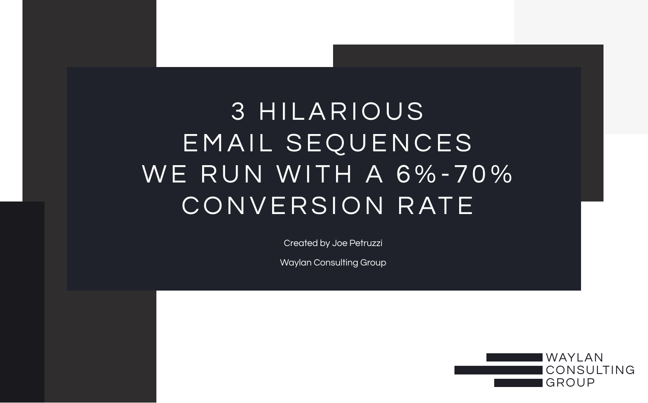## 3 HILARIOUS EMAIL SEQUENCES WE RUN WITH A 6%-70% CONVERSION RATE

Created by Joe Petruzzi

Waylan Consulting Group

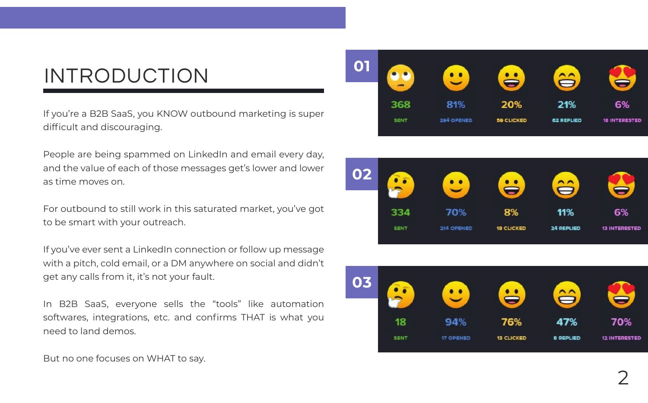## INTRODUCTION

If you're a B2B SaaS, you KNOW outbound marketing is super difficult and discouraging.

People are being spammed on LinkedIn and email every day, and the value of each of those messages get's lower and lower as time moves on.

For outbound to still work in this saturated market, you've got to be smart with your outreach.

If you've ever sent a LinkedIn connection or follow up message with a pitch, cold email, or a DM anywhere on social and didn't get any calls from it, it's not your fault.

In B2B SaaS, everyone sells the "tools" like automation softwares, integrations, etc. and confirms THAT is what you need to land demos.







But no one focuses on WHAT to say.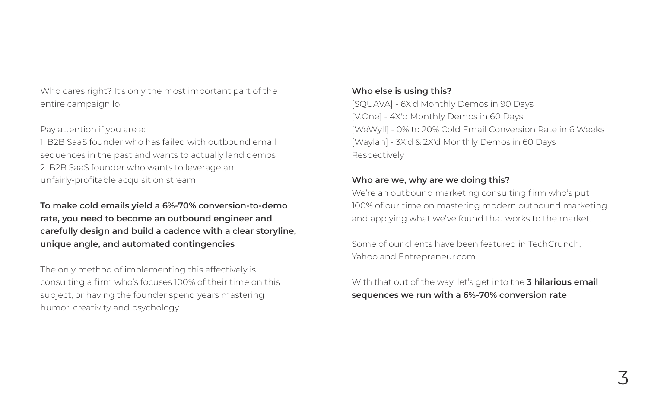Who cares right? It's only the most important part of the entire campaign lol

#### Pay attention if you are a:

1. B2B SaaS founder who has failed with outbound email sequences in the past and wants to actually land demos 2. B2B SaaS founder who wants to leverage an unfairly-profitable acquisition stream

**To make cold emails yield a 6%-70% conversion-to-demo rate, you need to become an outbound engineer and carefully design and build a cadence with a clear storyline, unique angle, and automated contingencies**

The only method of implementing this effectively is consulting a firm who's focuses 100% of their time on this subject, or having the founder spend years mastering humor, creativity and psychology.

### **Who else is using this?**

[SQUAVA] - 6X'd Monthly Demos in 90 Days [V.One] - 4X'd Monthly Demos in 60 Days [WeWyll] - 0% to 20% Cold Email Conversion Rate in 6 Weeks [Waylan] - 3X'd & 2X'd Monthly Demos in 60 Days Respectively

### **Who are we, why are we doing this?**

We're an outbound marketing consulting firm who's put 100% of our time on mastering modern outbound marketing and applying what we've found that works to the market.

Some of our clients have been featured in TechCrunch, Yahoo and Entrepreneur.com

With that out of the way, let's get into the **3 hilarious email sequences we run with a 6%-70% conversion rate**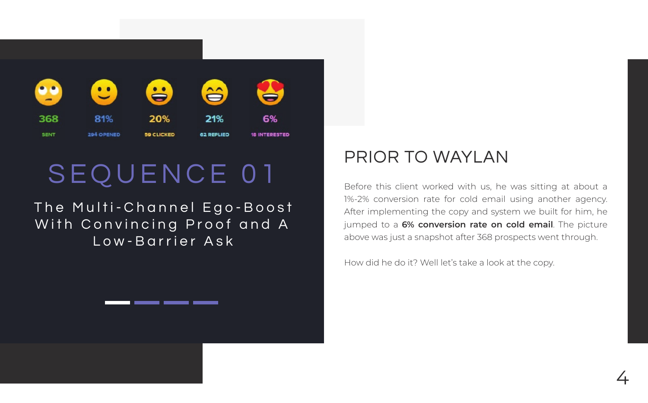

## SEQUENCE 01

The Multi-Channel Ego-Boost With Convincing Proof and A Low-Barrier Ask

### PRIOR TO WAYLAN

Before this client worked with us, he was sitting at about a 1%-2% conversion rate for cold email using another agency. After implementing the copy and system we built for him, he jumped to a **6% conversion rate on cold email**. The picture above was just a snapshot after 368 prospects went through.

How did he do it? Well let's take a look at the copy.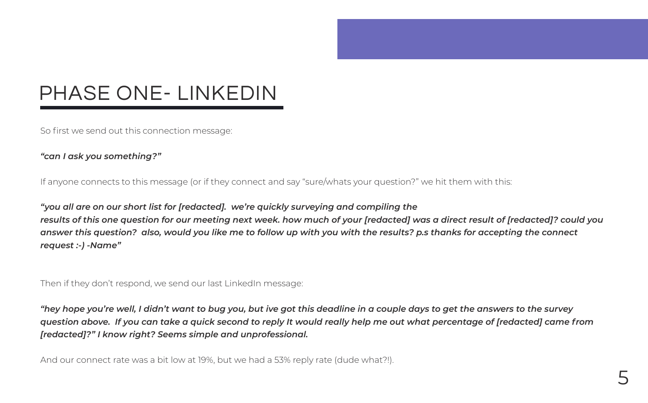## PHASE ONE- LINKEDIN

So first we send out this connection message:

### *"can I ask you something?"*

If anyone connects to this message (or if they connect and say "sure/whats your question?" we hit them with this:

*"you all are on our short list for [redacted]. we're quickly surveying and compiling the results of this one question for our meeting next week. how much of your [redacted] was a direct result of [redacted]? could you answer this question? also, would you like me to follow up with you with the results? p.s thanks for accepting the connect request :-) -Name"*

Then if they don't respond, we send our last LinkedIn message:

*"hey hope you're well, I didn't want to bug you, but ive got this deadline in a couple days to get the answers to the survey question above. If you can take a quick second to reply It would really help me out what percentage of [redacted] came from [redacted]?" I know right? Seems simple and unprofessional.*

And our connect rate was a bit low at 19%, but we had a 53% reply rate (dude what?!).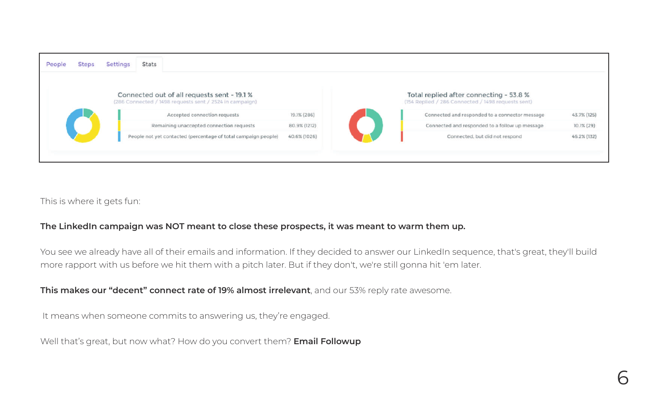| People | <b>Steps</b> | <b>Settings</b> | Stats                                                                                                  |              |                                                                                               |             |
|--------|--------------|-----------------|--------------------------------------------------------------------------------------------------------|--------------|-----------------------------------------------------------------------------------------------|-------------|
|        |              |                 | Connected out of all requests sent - 19.1 %<br>(286 Connected / 1498 requests sent / 2524 in campaign) |              | Total replied after connecting - 53.8 %<br>(154 Replied / 286 Connected / 1498 requests sent) |             |
|        |              |                 | Accepted connection requests                                                                           | 19.1% (286)  | Connected and responded to a connector message                                                | 43.7% (125) |
|        |              |                 | Remaining unaccepted connection requests                                                               | 80.9% (1212) | Connected and responded to a follow up message                                                | 10.1% (29)  |
|        |              |                 | People not yet contacted (percentage of total campaign people)                                         | 40.6% (1026) | Connected, but did not respond                                                                | 46.2% (132) |
|        |              |                 |                                                                                                        |              |                                                                                               |             |
|        |              |                 |                                                                                                        |              |                                                                                               |             |

This is where it gets fun:

### **The LinkedIn campaign was NOT meant to close these prospects, it was meant to warm them up.**

You see we already have all of their emails and information. If they decided to answer our LinkedIn sequence, that's great, they'll build more rapport with us before we hit them with a pitch later. But if they don't, we're still gonna hit 'em later.

**This makes our "decent" connect rate of 19% almost irrelevant**, and our 53% reply rate awesome.

It means when someone commits to answering us, they're engaged.

Well that's great, but now what? How do you convert them? **Email Followup**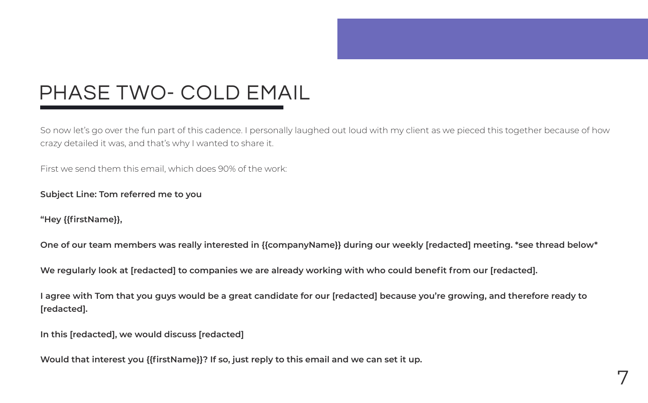## PHASE TWO- COLD EMAIL

So now let's go over the fun part of this cadence. I personally laughed out loud with my client as we pieced this together because of how crazy detailed it was, and that's why I wanted to share it.

First we send them this email, which does 90% of the work:

### **Subject Line: Tom referred me to you**

**"Hey {{firstName}},** 

**One of our team members was really interested in {{companyName}} during our weekly [redacted] meeting. \*see thread below\***

**We regularly look at [redacted] to companies we are already working with who could benefit from our [redacted].**

**I agree with Tom that you guys would be a great candidate for our [redacted] because you're growing, and therefore ready to [redacted].**

**In this [redacted], we would discuss [redacted]**

**Would that interest you {{firstName}}? If so, just reply to this email and we can set it up.**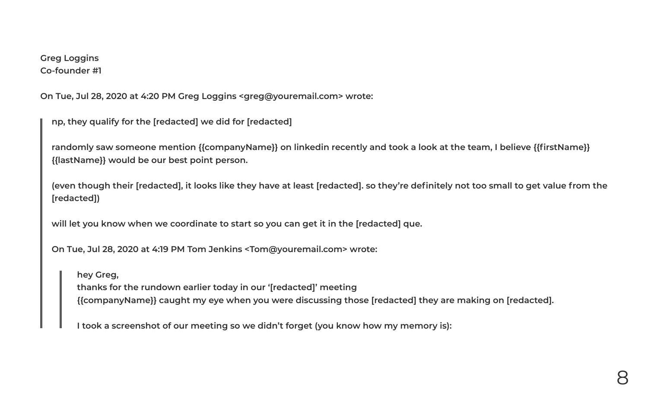### **Greg Loggins Co-founder #1**

**On Tue, Jul 28, 2020 at 4:20 PM Greg Loggins <greg@youremail.com> wrote:**

**np, they qualify for the [redacted] we did for [redacted]**

**randomly saw someone mention {{companyName}} on linkedin recently and took a look at the team, I believe {{firstName}} {{lastName}} would be our best point person.** 

**(even though their [redacted], it looks like they have at least [redacted]. so they're definitely not too small to get value from the [redacted])**

**will let you know when we coordinate to start so you can get it in the [redacted] que.** 

**On Tue, Jul 28, 2020 at 4:19 PM Tom Jenkins <Tom@youremail.com> wrote:**

 **hey Greg, thanks for the rundown earlier today in our '[redacted]' meeting {{companyName}} caught my eye when you were discussing those [redacted] they are making on [redacted].**

 **I took a screenshot of our meeting so we didn't forget (you know how my memory is):**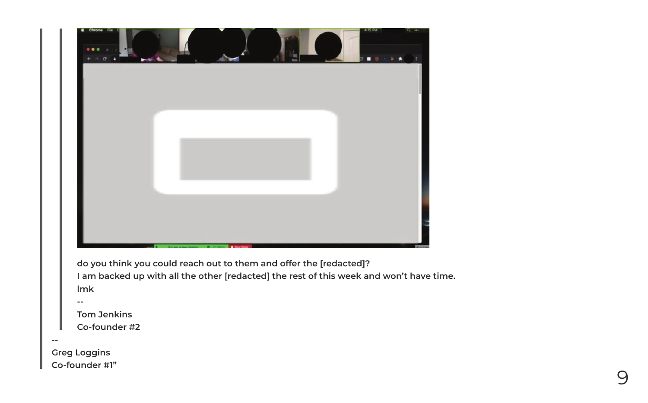

**--**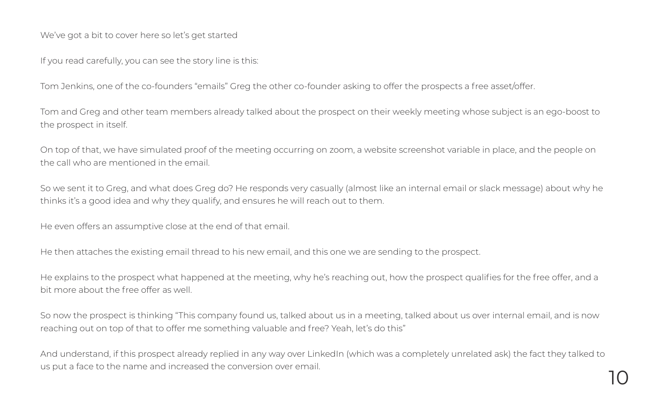We've got a bit to cover here so let's get started

If you read carefully, you can see the story line is this:

Tom Jenkins, one of the co-founders "emails" Greg the other co-founder asking to offer the prospects a free asset/offer.

Tom and Greg and other team members already talked about the prospect on their weekly meeting whose subject is an ego-boost to the prospect in itself.

On top of that, we have simulated proof of the meeting occurring on zoom, a website screenshot variable in place, and the people on the call who are mentioned in the email.

So we sent it to Greg, and what does Greg do? He responds very casually (almost like an internal email or slack message) about why he thinks it's a good idea and why they qualify, and ensures he will reach out to them.

He even offers an assumptive close at the end of that email.

He then attaches the existing email thread to his new email, and this one we are sending to the prospect.

He explains to the prospect what happened at the meeting, why he's reaching out, how the prospect qualifies for the free offer, and a bit more about the free offer as well.

So now the prospect is thinking "This company found us, talked about us in a meeting, talked about us over internal email, and is now reaching out on top of that to offer me something valuable and free? Yeah, let's do this"

And understand, if this prospect already replied in any way over LinkedIn (which was a completely unrelated ask) the fact they talked to us put a face to the name and increased the conversion over email.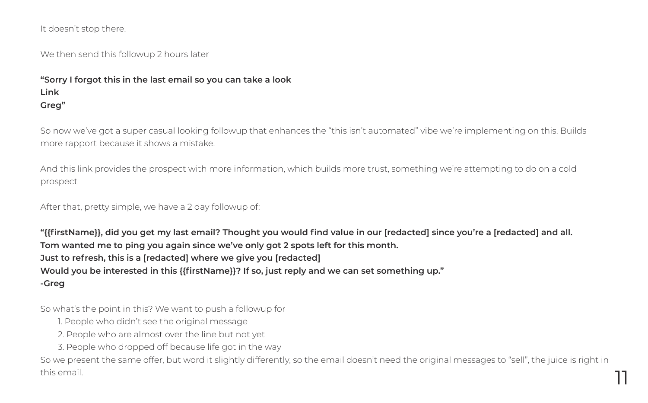It doesn't stop there.

We then send this followup 2 hours later

### **"Sorry I forgot this in the last email so you can take a look Link Greg"**

So now we've got a super casual looking followup that enhances the "this isn't automated" vibe we're implementing on this. Builds more rapport because it shows a mistake.

And this link provides the prospect with more information, which builds more trust, something we're attempting to do on a cold prospect

After that, pretty simple, we have a 2 day followup of:

**"{{firstName}}, did you get my last email? Thought you would find value in our [redacted] since you're a [redacted] and all. Tom wanted me to ping you again since we've only got 2 spots left for this month. Just to refresh, this is a [redacted] where we give you [redacted] Would you be interested in this {{firstName}}? If so, just reply and we can set something up." -Greg**

So what's the point in this? We want to push a followup for

- 1. People who didn't see the original message
- 2. People who are almost over the line but not yet
- 3. People who dropped off because life got in the way

So we present the same offer, but word it slightly differently, so the email doesn't need the original messages to "sell", the juice is right in this email. **111**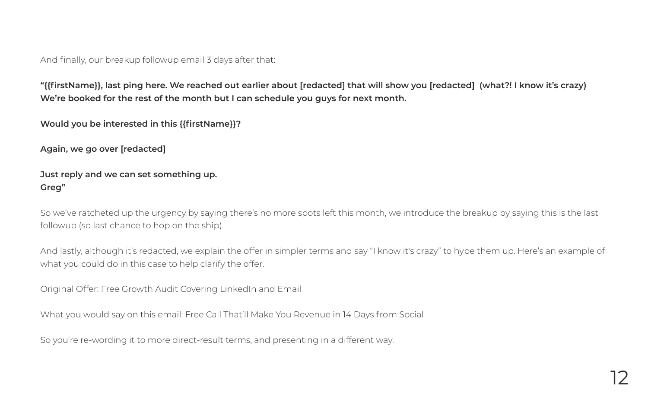And finally, our breakup followup email 3 days after that:

**"{{firstName}}, last ping here. We reached out earlier about [redacted] that will show you [redacted] (what?! I know it's crazy) We're booked for the rest of the month but I can schedule you guys for next month.**

**Would you be interested in this {{firstName}}?**

**Again, we go over [redacted]** 

### **Just reply and we can set something up. Greg"**

So we've ratcheted up the urgency by saying there's no more spots left this month, we introduce the breakup by saying this is the last followup (so last chance to hop on the ship).

And lastly, although it's redacted, we explain the offer in simpler terms and say "I know it's crazy" to hype them up. Here's an example of what you could do in this case to help clarify the offer.

Original Offer: Free Growth Audit Covering LinkedIn and Email

What you would say on this email: Free Call That'll Make You Revenue in 14 Days from Social

So you're re-wording it to more direct-result terms, and presenting in a different way.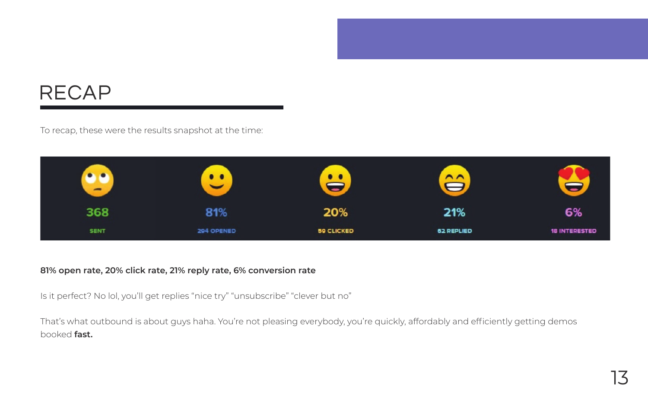## RECAP

To recap, these were the results snapshot at the time:



### **81% open rate, 20% click rate, 21% reply rate, 6% conversion rate**

Is it perfect? No lol, you'll get replies "nice try" "unsubscribe" "clever but no"

That's what outbound is about guys haha. You're not pleasing everybody, you're quickly, affordably and efficiently getting demos booked **fast.**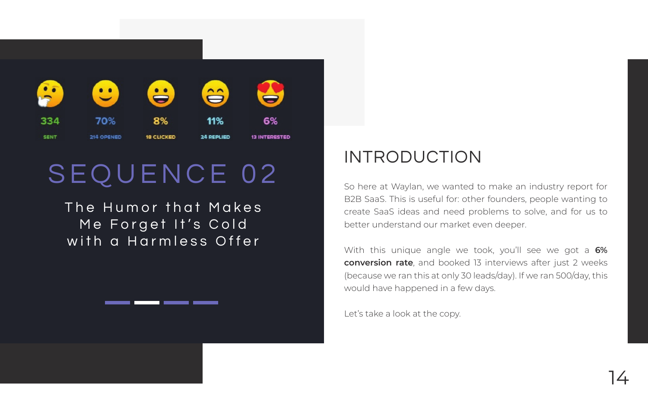

## SEQUENCE 02

The Humor that Makes Me Forget It's Cold with a Harmless Offer

### INTRODUCTION

So here at Waylan, we wanted to make an industry report for B2B SaaS. This is useful for: other founders, people wanting to create SaaS ideas and need problems to solve, and for us to better understand our market even deeper.

With this unique angle we took, you'll see we got a **6% conversion rate**, and booked 13 interviews after just 2 weeks (because we ran this at only 30 leads/day). If we ran 500/day, this would have happened in a few days.

Let's take a look at the copy.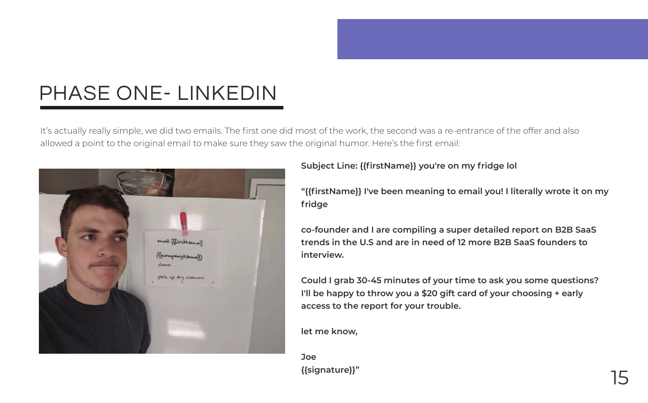## PHASE ONE- LINKEDIN

It's actually really simple, we did two emails. The first one did most of the work, the second was a re-entrance of the offer and also allowed a point to the original email to make sure they saw the original humor. Here's the first email:



**Subject Line: {{firstName}} you're on my fridge lol**

**"{{firstName}} I've been meaning to email you! I literally wrote it on my fridge**

**co-founder and I are compiling a super detailed report on B2B SaaS trends in the U.S and are in need of 12 more B2B SaaS founders to interview.**

**Could I grab 30-45 minutes of your time to ask you some questions? I'll be happy to throw you a \$20 gift card of your choosing + early access to the report for your trouble.**

**let me know,**

**Joe {{signature}}"** 15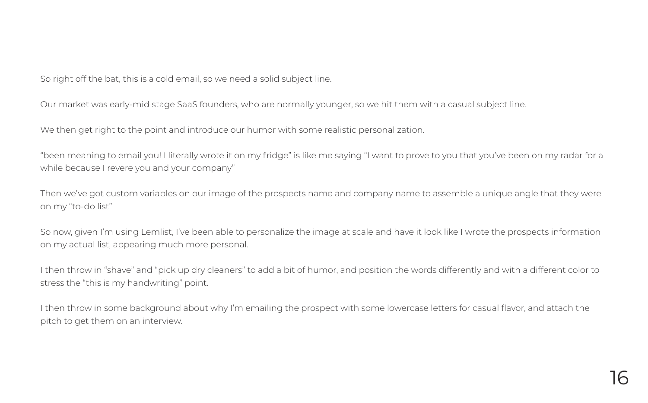So right off the bat, this is a cold email, so we need a solid subject line.

Our market was early-mid stage SaaS founders, who are normally younger, so we hit them with a casual subject line.

We then get right to the point and introduce our humor with some realistic personalization.

"been meaning to email you! I literally wrote it on my fridge" is like me saying "I want to prove to you that you've been on my radar for a while because I revere you and your company"

Then we've got custom variables on our image of the prospects name and company name to assemble a unique angle that they were on my "to-do list"

So now, given I'm using Lemlist, I've been able to personalize the image at scale and have it look like I wrote the prospects information on my actual list, appearing much more personal.

I then throw in "shave" and "pick up dry cleaners" to add a bit of humor, and position the words differently and with a different color to stress the "this is my handwriting" point.

I then throw in some background about why I'm emailing the prospect with some lowercase letters for casual flavor, and attach the pitch to get them on an interview.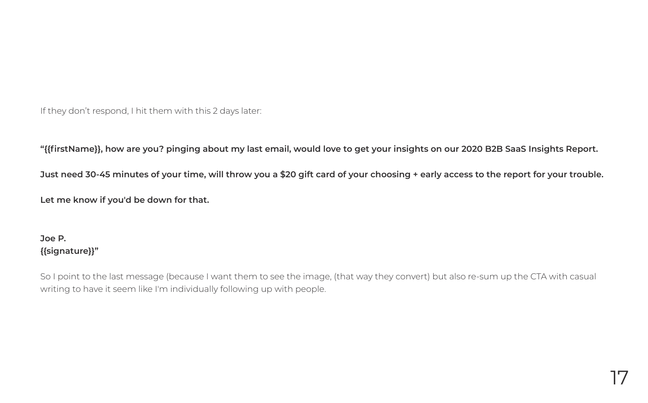If they don't respond, I hit them with this 2 days later:

**"{{firstName}}, how are you? pinging about my last email, would love to get your insights on our 2020 B2B SaaS Insights Report.**

**Just need 30-45 minutes of your time, will throw you a \$20 gift card of your choosing + early access to the report for your trouble. Let me know if you'd be down for that.**

### **Joe P. {{signature}}"**

So I point to the last message (because I want them to see the image, (that way they convert) but also re-sum up the CTA with casual writing to have it seem like I'm individually following up with people.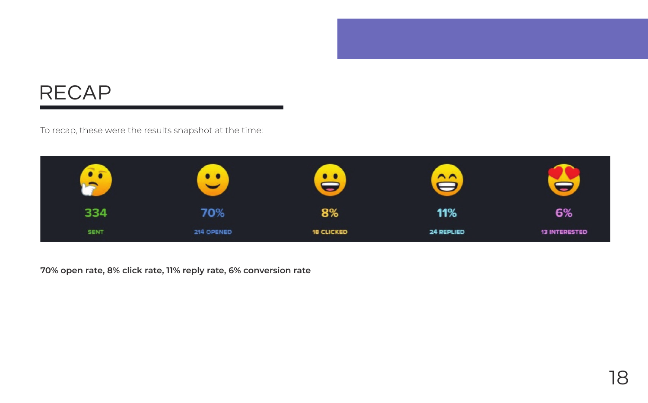## RECAP

To recap, these were the results snapshot at the time:



**70% open rate, 8% click rate, 11% reply rate, 6% conversion rate**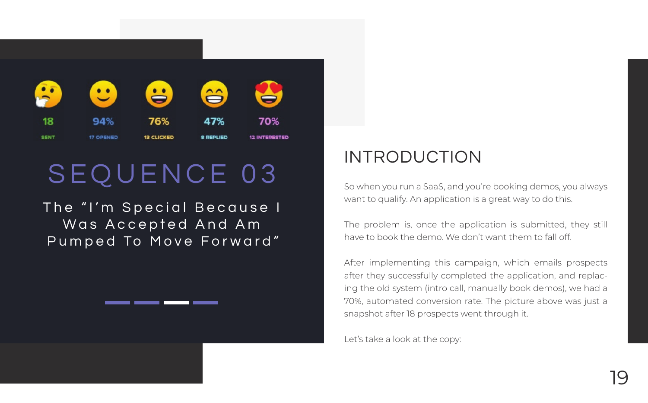

## SEQUENCE 03

The "I'm Special Because I Was Accepted And Am Pumped To Move Forward"

### INTRODUCTION

So when you run a SaaS, and you're booking demos, you always want to qualify. An application is a great way to do this.

The problem is, once the application is submitted, they still have to book the demo. We don't want them to fall off.

After implementing this campaign, which emails prospects after they successfully completed the application, and replacing the old system (intro call, manually book demos), we had a 70%, automated conversion rate. The picture above was just a snapshot after 18 prospects went through it.

Let's take a look at the copy: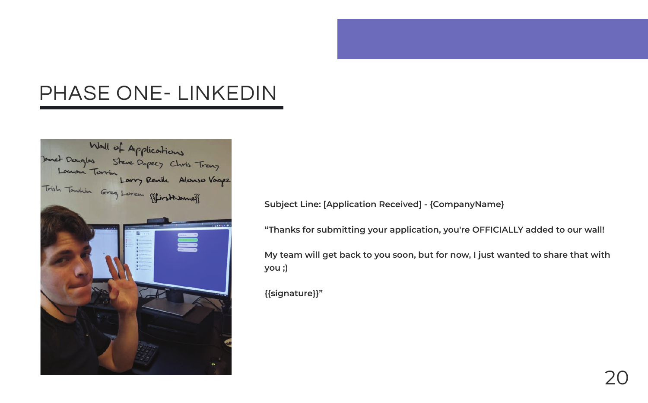## PHASE ONE- LINKEDIN



**Subject Line: [Application Received] - {CompanyName}**

**"Thanks for submitting your application, you're OFFICIALLY added to our wall!**

**My team will get back to you soon, but for now, I just wanted to share that with you ;)**

**{{signature}}"**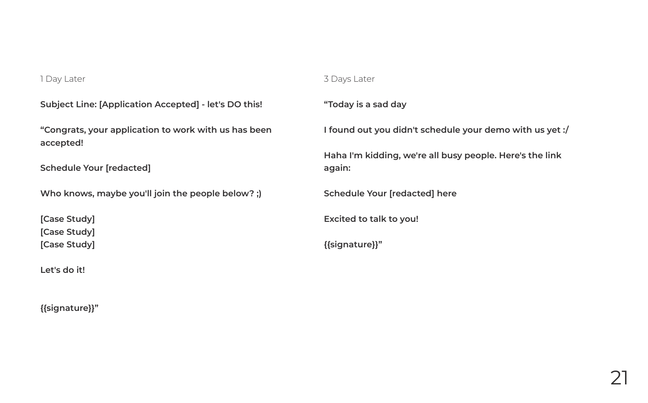#### 1 Day Later

### **Subject Line: [Application Accepted] - let's DO this!**

**"Congrats, your application to work with us has been accepted!** 

**Schedule Your [redacted]**

**Who knows, maybe you'll join the people below? ;)** 

**[Case Study] [Case Study] [Case Study]**

**Let's do it!** 

**{{signature}}"**

#### 3 Days Later

**"Today is a sad day**

**I found out you didn't schedule your demo with us yet :/**

**Haha I'm kidding, we're all busy people. Here's the link again:**

**Schedule Your [redacted] here**

**Excited to talk to you!**

**{{signature}}"**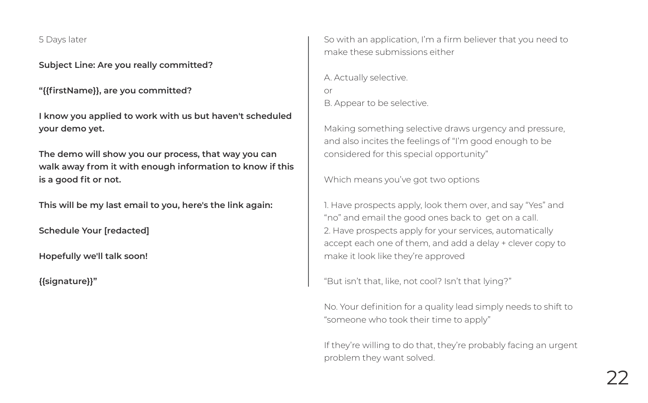5 Days later

**Subject Line: Are you really committed?**

**"{{firstName}}, are you committed?** 

**I know you applied to work with us but haven't scheduled your demo yet.** 

**The demo will show you our process, that way you can walk away from it with enough information to know if this is a good fit or not.** 

**This will be my last email to you, here's the link again:**

**Schedule Your [redacted]**

**Hopefully we'll talk soon!** 

**{{signature}}"**

So with an application, I'm a firm believer that you need to make these submissions either

A. Actually selective. or B. Appear to be selective.

Making something selective draws urgency and pressure, and also incites the feelings of "I'm good enough to be considered for this special opportunity"

Which means you've got two options

1. Have prospects apply, look them over, and say "Yes" and "no" and email the good ones back to get on a call. 2. Have prospects apply for your services, automatically accept each one of them, and add a delay + clever copy to make it look like they're approved

"But isn't that, like, not cool? Isn't that lying?"

No. Your definition for a quality lead simply needs to shift to "someone who took their time to apply"

If they're willing to do that, they're probably facing an urgent problem they want solved.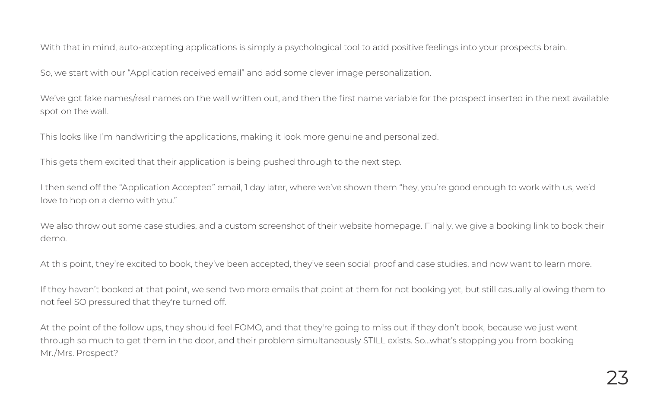With that in mind, auto-accepting applications is simply a psychological tool to add positive feelings into your prospects brain.

So, we start with our "Application received email" and add some clever image personalization.

We've got fake names/real names on the wall written out, and then the first name variable for the prospect inserted in the next available spot on the wall.

This looks like I'm handwriting the applications, making it look more genuine and personalized.

This gets them excited that their application is being pushed through to the next step.

I then send off the "Application Accepted" email, 1 day later, where we've shown them "hey, you're good enough to work with us, we'd love to hop on a demo with you."

We also throw out some case studies, and a custom screenshot of their website homepage. Finally, we give a booking link to book their demo.

At this point, they're excited to book, they've been accepted, they've seen social proof and case studies, and now want to learn more.

If they haven't booked at that point, we send two more emails that point at them for not booking yet, but still casually allowing them to not feel SO pressured that they're turned off.

At the point of the follow ups, they should feel FOMO, and that they're going to miss out if they don't book, because we just went through so much to get them in the door, and their problem simultaneously STILL exists. So...what's stopping you from booking Mr./Mrs. Prospect?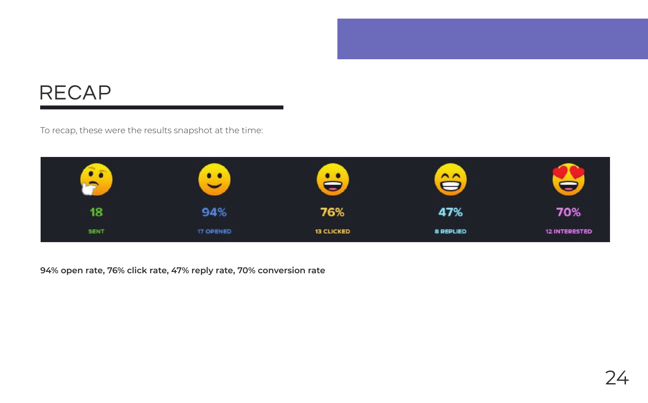## RECAP

To recap, these were the results snapshot at the time:



**94% open rate, 76% click rate, 47% reply rate, 70% conversion rate**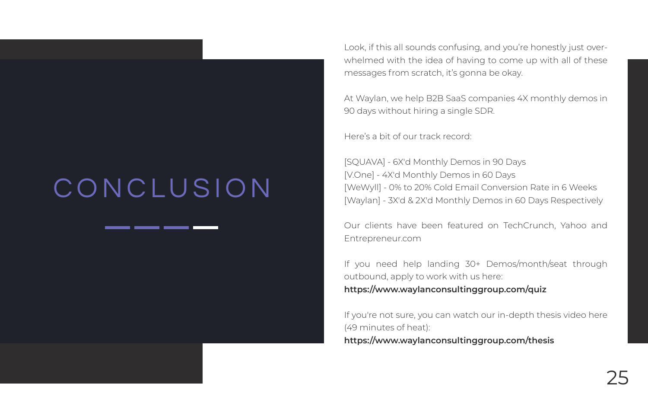## CONCLUSION

Look, if this all sounds confusing, and you're honestly just overwhelmed with the idea of having to come up with all of these messages from scratch, it's gonna be okay.

At Waylan, we help B2B SaaS companies 4X monthly demos in 90 days without hiring a single SDR.

Here's a bit of our track record:

[SQUAVA] - 6X'd Monthly Demos in 90 Days [V.One] - 4X'd Monthly Demos in 60 Days [WeWyll] - 0% to 20% Cold Email Conversion Rate in 6 Weeks [Waylan] - 3X'd & 2X'd Monthly Demos in 60 Days Respectively

Our clients have been featured on TechCrunch, Yahoo and Entrepreneur.com

If you need help landing 30+ Demos/month/seat through outbound, apply to work with us here: **https://www.waylanconsultinggroup.com/quiz** 

If you're not sure, you can watch our in-depth thesis video here (49 minutes of heat): **https://www.waylanconsultinggroup.com/thesis**